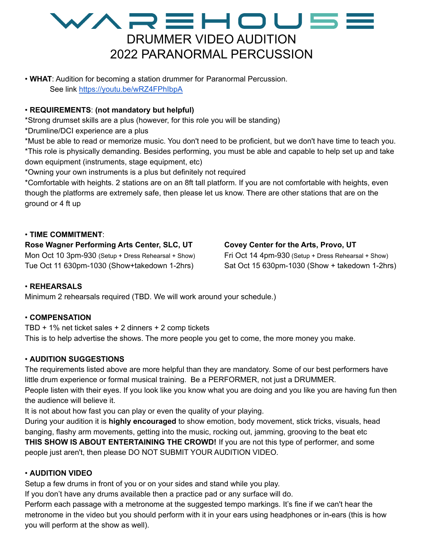# WAREHOU5E DRUMMER VIDEO AUDITION 2022 PARANORMAL PERCUSSION

• **WHAT**: Audition for becoming a station drummer for Paranormal Percussion. See link <https://youtu.be/wRZ4FPhIbpA>

## • **REQUIREMENTS**: **(not mandatory but helpful)**

\*Strong drumset skills are a plus (however, for this role you will be standing)

\*Drumline/DCI experience are a plus

\*Must be able to read or memorize music. You don't need to be proficient, but we don't have time to teach you. \*This role is physically demanding. Besides performing, you must be able and capable to help set up and take down equipment (instruments, stage equipment, etc)

\*Owning your own instruments is a plus but definitely not required

\*Comfortable with heights. 2 stations are on an 8ft tall platform. If you are not comfortable with heights, even though the platforms are extremely safe, then please let us know. There are other stations that are on the ground or 4 ft up

## • **TIME COMMITMENT**:

**Rose Wagner Performing Arts Center, SLC, UT** Mon Oct 10 3pm-930 (Setup + Dress Rehearsal + Show) Tue Oct 11 630pm-1030 (Show+takedown 1-2hrs)

## **Covey Center for the Arts, Provo, UT**

Fri Oct 14 4pm-930 (Setup + Dress Rehearsal + Show) Sat Oct 15 630pm-1030 (Show + takedown 1-2hrs)

#### • **REHEARSALS**

Minimum 2 rehearsals required (TBD. We will work around your schedule.)

#### • **COMPENSATION**

TBD + 1% net ticket sales + 2 dinners + 2 comp tickets This is to help advertise the shows. The more people you get to come, the more money you make.

#### • **AUDITION SUGGESTIONS**

The requirements listed above are more helpful than they are mandatory. Some of our best performers have little drum experience or formal musical training. Be a PERFORMER, not just a DRUMMER. People listen with their eyes. If you look like you know what you are doing and you like you are having fun then the audience will believe it.

It is not about how fast you can play or even the quality of your playing.

During your audition it is **highly encouraged** to show emotion, body movement, stick tricks, visuals, head banging, flashy arm movements, getting into the music, rocking out, jamming, grooving to the beat etc **THIS SHOW IS ABOUT ENTERTAINING THE CROWD!** If you are not this type of performer, and some people just aren't, then please DO NOT SUBMIT YOUR AUDITION VIDEO.

#### • **AUDITION VIDEO**

Setup a few drums in front of you or on your sides and stand while you play.

If you don't have any drums available then a practice pad or any surface will do.

Perform each passage with a metronome at the suggested tempo markings. It's fine if we can't hear the metronome in the video but you should perform with it in your ears using headphones or in-ears (this is how you will perform at the show as well).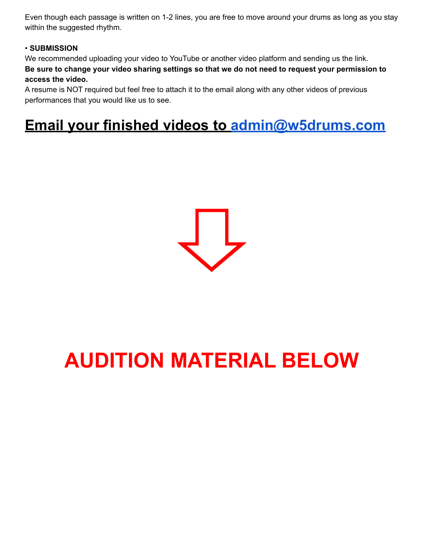Even though each passage is written on 1-2 lines, you are free to move around your drums as long as you stay within the suggested rhythm.

## • **SUBMISSION**

We recommended uploading your video to YouTube or another video platform and sending us the link. Be sure to change your video sharing settings so that we do not need to request your permission to **access the video.**

A resume is NOT required but feel free to attach it to the email along with any other videos of previous performances that you would like us to see.

# **Email your finished videos to [admin@w5drums.com](mailto:admin@w5drums.com)**



# **AUDITION MATERIAL BELOW**